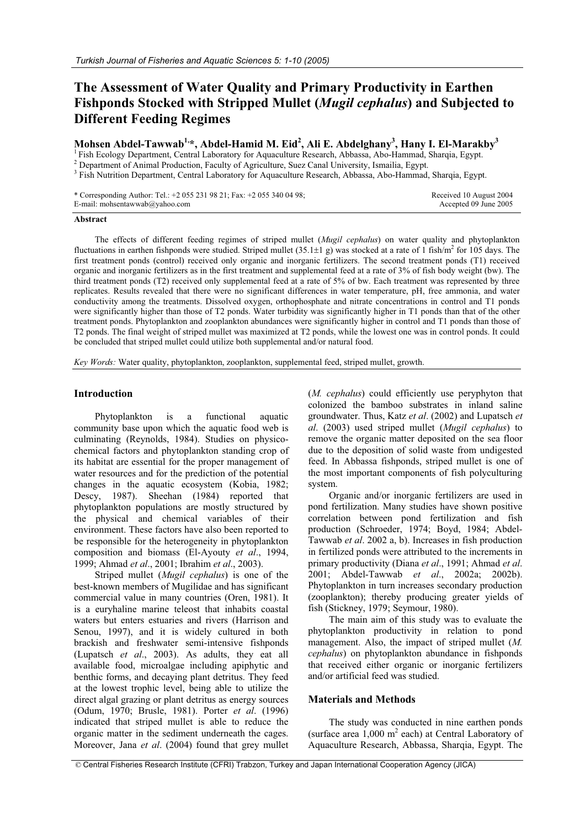# **The Assessment of Water Quality and Primary Productivity in Earthen Fishponds Stocked with Stripped Mullet (***Mugil cephalus***) and Subjected to Different Feeding Regimes**

# **Mohsen Abdel-Tawwab1,\*, Abdel-Hamid M. Eid2 , Ali E. Abdelghany3 , Hany I. El-Marakby3**

<sup>1</sup> Fish Ecology Department, Central Laboratory for Aquaculture Research, Abbassa, Abo-Hammad, Sharqia, Egypt. <sup>2</sup> Department of Animal Production, Faculty of Agriculture, Suez Canal University, Ismailia, Egypt.

<sup>3</sup> Fish Nutrition Department, Central Laboratory for Aquaculture Research, Abbassa, Abo-Hammad, Sharqia, Egypt.

\* Corresponding Author: Tel.: +2 055 231 98 21; Fax: +2 055 340 04 98; E-mail: mohsentawwab@yahoo.com

 Received 10 August 2004 Accepted 09 June 2005

#### **Abstract**

The effects of different feeding regimes of striped mullet (*Mugil cephalus*) on water quality and phytoplankton fluctuations in earthen fishponds were studied. Striped mullet  $(35.1\pm1)$  g) was stocked at a rate of 1 fish/m<sup>2</sup> for 105 days. The first treatment ponds (control) received only organic and inorganic fertilizers. The second treatment ponds (T1) received organic and inorganic fertilizers as in the first treatment and supplemental feed at a rate of 3% of fish body weight (bw). The third treatment ponds (T2) received only supplemental feed at a rate of 5% of bw. Each treatment was represented by three replicates. Results revealed that there were no significant differences in water temperature, pH, free ammonia, and water conductivity among the treatments. Dissolved oxygen, orthophosphate and nitrate concentrations in control and T1 ponds were significantly higher than those of T2 ponds. Water turbidity was significantly higher in T1 ponds than that of the other treatment ponds. Phytoplankton and zooplankton abundances were significantly higher in control and T1 ponds than those of T2 ponds. The final weight of striped mullet was maximized at T2 ponds, while the lowest one was in control ponds. It could be concluded that striped mullet could utilize both supplemental and/or natural food.

*Key Words:* Water quality, phytoplankton, zooplankton, supplemental feed, striped mullet, growth.

#### **Introduction**

Phytoplankton is a functional aquatic community base upon which the aquatic food web is culminating (Reynolds, 1984). Studies on physicochemical factors and phytoplankton standing crop of its habitat are essential for the proper management of water resources and for the prediction of the potential changes in the aquatic ecosystem (Kobia, 1982; Descy, 1987). Sheehan (1984) reported that phytoplankton populations are mostly structured by the physical and chemical variables of their environment. These factors have also been reported to be responsible for the heterogeneity in phytoplankton composition and biomass (El-Ayouty *et al*., 1994, 1999; Ahmad *et al*., 2001; Ibrahim *et al*., 2003).

Striped mullet (*Mugil cephalus*) is one of the best-known members of Mugilidae and has significant commercial value in many countries (Oren, 1981). It is a euryhaline marine teleost that inhabits coastal waters but enters estuaries and rivers (Harrison and Senou, 1997), and it is widely cultured in both brackish and freshwater semi-intensive fishponds (Lupatsch *et al*., 2003). As adults, they eat all available food, microalgae including apiphytic and benthic forms, and decaying plant detritus. They feed at the lowest trophic level, being able to utilize the direct algal grazing or plant detritus as energy sources (Odum, 1970; Brusle, 1981). Porter *et al*. (1996) indicated that striped mullet is able to reduce the organic matter in the sediment underneath the cages. Moreover, Jana *et al*. (2004) found that grey mullet (*M. cephalus*) could efficiently use peryphyton that colonized the bamboo substrates in inland saline groundwater. Thus, Katz *et al*. (2002) and Lupatsch *et al*. (2003) used striped mullet (*Mugil cephalus*) to remove the organic matter deposited on the sea floor due to the deposition of solid waste from undigested feed. In Abbassa fishponds, striped mullet is one of the most important components of fish polyculturing system.

Organic and/or inorganic fertilizers are used in pond fertilization. Many studies have shown positive correlation between pond fertilization and fish production (Schroeder, 1974; Boyd, 1984; Abdel-Tawwab *et al*. 2002 a, b). Increases in fish production in fertilized ponds were attributed to the increments in primary productivity (Diana *et al*., 1991; Ahmad *et al*. 2001; Abdel-Tawwab *et al*., 2002a; 2002b). Phytoplankton in turn increases secondary production (zooplankton); thereby producing greater yields of fish (Stickney, 1979; Seymour, 1980).

The main aim of this study was to evaluate the phytoplankton productivity in relation to pond management. Also, the impact of striped mullet (*M. cephalus*) on phytoplankton abundance in fishponds that received either organic or inorganic fertilizers and/or artificial feed was studied.

### **Materials and Methods**

The study was conducted in nine earthen ponds (surface area  $1,000 \text{ m}^2$  each) at Central Laboratory of Aquaculture Research, Abbassa, Sharqia, Egypt. The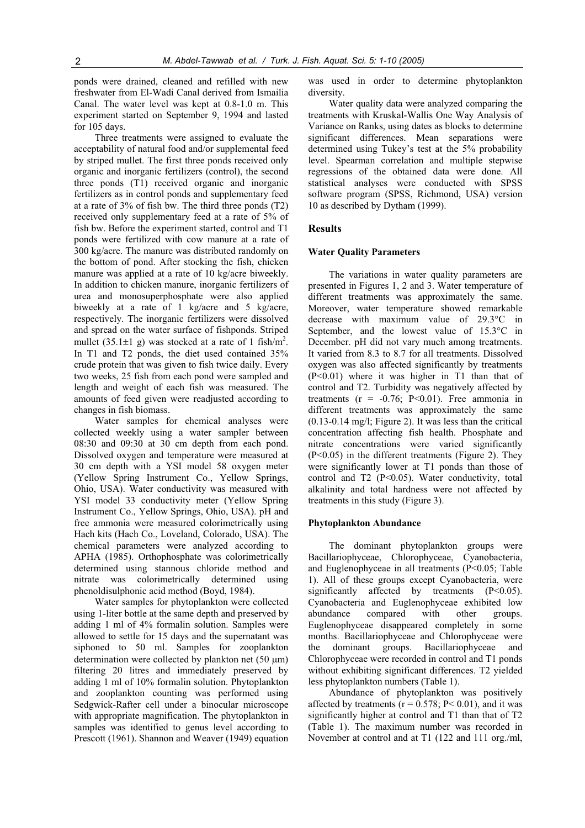ponds were drained, cleaned and refilled with new freshwater from El-Wadi Canal derived from Ismailia Canal. The water level was kept at 0.8-1.0 m. This experiment started on September 9, 1994 and lasted for 105 days.

Three treatments were assigned to evaluate the acceptability of natural food and/or supplemental feed by striped mullet. The first three ponds received only organic and inorganic fertilizers (control), the second three ponds (T1) received organic and inorganic fertilizers as in control ponds and supplementary feed at a rate of 3% of fish bw. The third three ponds (T2) received only supplementary feed at a rate of 5% of fish bw. Before the experiment started, control and T1 ponds were fertilized with cow manure at a rate of 300 kg/acre. The manure was distributed randomly on the bottom of pond. After stocking the fish, chicken manure was applied at a rate of 10 kg/acre biweekly. In addition to chicken manure, inorganic fertilizers of urea and monosuperphosphate were also applied biweekly at a rate of 1 kg/acre and 5 kg/acre, respectively. The inorganic fertilizers were dissolved and spread on the water surface of fishponds. Striped mullet (35.1 $\pm$ 1 g) was stocked at a rate of 1 fish/m<sup>2</sup>. In T1 and T2 ponds, the diet used contained 35% crude protein that was given to fish twice daily. Every two weeks, 25 fish from each pond were sampled and length and weight of each fish was measured. The amounts of feed given were readjusted according to changes in fish biomass.

Water samples for chemical analyses were collected weekly using a water sampler between 08:30 and 09:30 at 30 cm depth from each pond. Dissolved oxygen and temperature were measured at 30 cm depth with a YSI model 58 oxygen meter (Yellow Spring Instrument Co., Yellow Springs, Ohio, USA). Water conductivity was measured with YSI model 33 conductivity meter (Yellow Spring Instrument Co., Yellow Springs, Ohio, USA). pH and free ammonia were measured colorimetrically using Hach kits (Hach Co., Loveland, Colorado, USA). The chemical parameters were analyzed according to APHA (1985). Orthophosphate was colorimetrically determined using stannous chloride method and nitrate was colorimetrically determined using phenoldisulphonic acid method (Boyd, 1984).

Water samples for phytoplankton were collected using 1-liter bottle at the same depth and preserved by adding 1 ml of 4% formalin solution. Samples were allowed to settle for 15 days and the supernatant was siphoned to 50 ml. Samples for zooplankton determination were collected by plankton net  $(50 \mu m)$ filtering 20 litres and immediately preserved by adding 1 ml of 10% formalin solution. Phytoplankton and zooplankton counting was performed using Sedgwick-Rafter cell under a binocular microscope with appropriate magnification. The phytoplankton in samples was identified to genus level according to Prescott (1961). Shannon and Weaver (1949) equation was used in order to determine phytoplankton diversity.

Water quality data were analyzed comparing the treatments with Kruskal-Wallis One Way Analysis of Variance on Ranks, using dates as blocks to determine significant differences. Mean separations were determined using Tukey's test at the 5% probability level. Spearman correlation and multiple stepwise regressions of the obtained data were done. All statistical analyses were conducted with SPSS software program (SPSS, Richmond, USA) version 10 as described by Dytham (1999).

#### **Results**

#### **Water Quality Parameters**

The variations in water quality parameters are presented in Figures 1, 2 and 3. Water temperature of different treatments was approximately the same. Moreover, water temperature showed remarkable decrease with maximum value of 29.3°C in September, and the lowest value of 15.3°C in December. pH did not vary much among treatments. It varied from 8.3 to 8.7 for all treatments. Dissolved oxygen was also affected significantly by treatments (P<0.01) where it was higher in T1 than that of control and T2. Turbidity was negatively affected by treatments ( $r = -0.76$ ; P<0.01). Free ammonia in different treatments was approximately the same (0.13-0.14 mg/l; Figure 2). It was less than the critical concentration affecting fish health. Phosphate and nitrate concentrations were varied significantly (P<0.05) in the different treatments (Figure 2). They were significantly lower at T1 ponds than those of control and T2 (P<0.05). Water conductivity, total alkalinity and total hardness were not affected by treatments in this study (Figure 3).

#### **Phytoplankton Abundance**

The dominant phytoplankton groups were Bacillariophyceae, Chlorophyceae, Cyanobacteria, and Euglenophyceae in all treatments (P<0.05; Table 1). All of these groups except Cyanobacteria, were significantly affected by treatments (P<0.05). Cyanobacteria and Euglenophyceae exhibited low abundance compared with other groups. Euglenophyceae disappeared completely in some months. Bacillariophyceae and Chlorophyceae were the dominant groups. Bacillariophyceae and Chlorophyceae were recorded in control and T1 ponds without exhibiting significant differences. T2 yielded less phytoplankton numbers (Table 1).

Abundance of phytoplankton was positively affected by treatments ( $r = 0.578$ ; P< 0.01), and it was significantly higher at control and T1 than that of T2 (Table 1). The maximum number was recorded in November at control and at T1 (122 and 111 org./ml,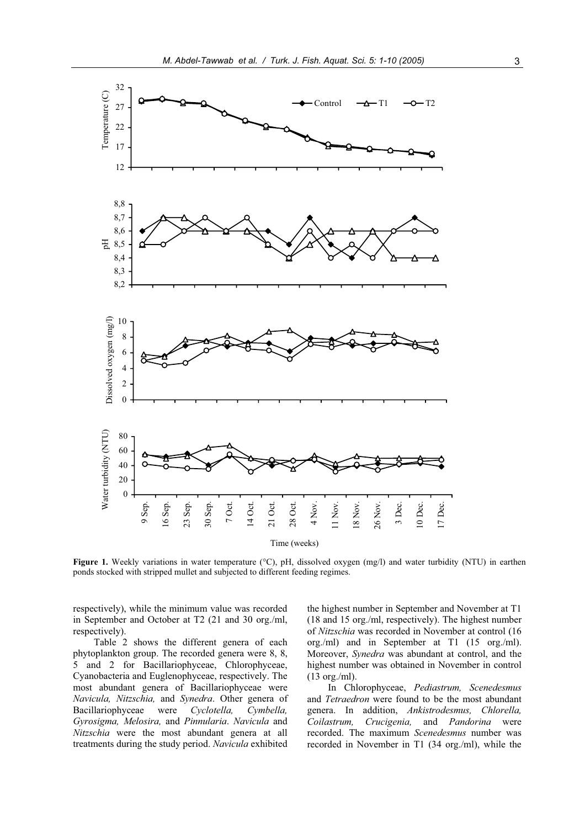

**Figure 1.** Weekly variations in water temperature (°C), pH, dissolved oxygen (mg/l) and water turbidity (NTU) in earthen ponds stocked with stripped mullet and subjected to different feeding regimes.

respectively), while the minimum value was recorded in September and October at T2 (21 and 30 org./ml, respectively).

Table 2 shows the different genera of each phytoplankton group. The recorded genera were 8, 8, 5 and 2 for Bacillariophyceae, Chlorophyceae, Cyanobacteria and Euglenophyceae, respectively. The most abundant genera of Bacillariophyceae were *Navicula, Nitzschia,* and *Synedra*. Other genera of Bacillariophyceae were *Cyclotella, Cymbella, Gyrosigma, Melosira,* and *Pinnularia*. *Navicula* and *Nitzschia* were the most abundant genera at all treatments during the study period. *Navicula* exhibited the highest number in September and November at T1 (18 and 15 org./ml, respectively). The highest number of *Nitzschia* was recorded in November at control (16 org./ml) and in September at T1 (15 org./ml). Moreover, *Synedra* was abundant at control, and the highest number was obtained in November in control (13 org./ml).

In Chlorophyceae, *Pediastrum, Scenedesmus* and *Tetraedron* were found to be the most abundant genera. In addition, *Ankistrodesmus, Chlorella, Coilastrum, Crucigenia,* and *Pandorina* were recorded. The maximum *Scenedesmus* number was recorded in November in T1 (34 org./ml), while the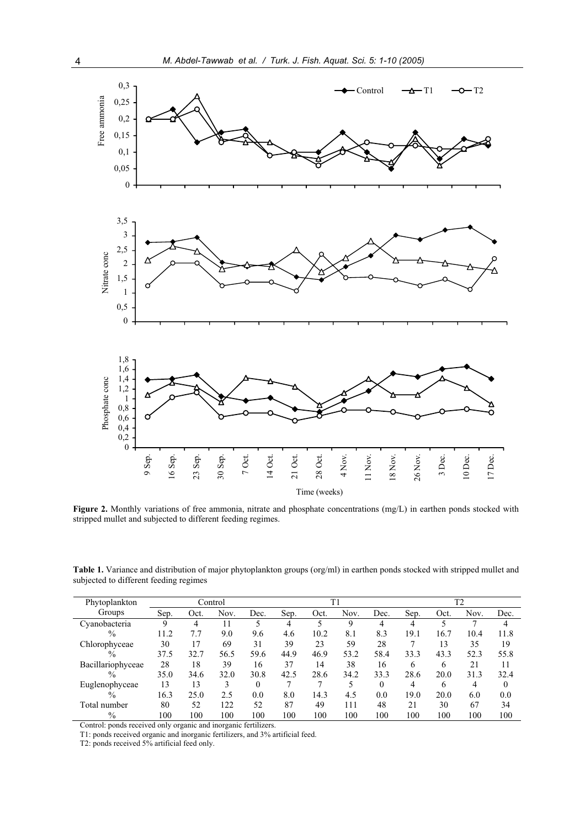

**Figure 2.** Monthly variations of free ammonia, nitrate and phosphate concentrations (mg/L) in earthen ponds stocked with stripped mullet and subjected to different feeding regimes.

**Table 1.** Variance and distribution of major phytoplankton groups (org/ml) in earthen ponds stocked with stripped mullet and subjected to different feeding regimes

| Phytoplankton     |      |      | Control |          |      |      | T1   |          | T <sub>2</sub> |      |      |          |
|-------------------|------|------|---------|----------|------|------|------|----------|----------------|------|------|----------|
| Groups            | Sep. | Oct. | Nov.    | Dec.     | Sep. | Oct. | Nov. | Dec.     | Sep.           | Oct. | Nov. | Dec.     |
| Cyanobacteria     | 9    | 4    |         |          | 4    |      | 9    | 4        | 4              |      |      | 4        |
| $\frac{0}{0}$     | 11.2 | 7.7  | 9.0     | 9.6      | 4.6  | 10.2 | 8.1  | 8.3      | 19.1           | 16.7 | 10.4 | 11.8     |
| Chlorophyceae     | 30   | 17   | 69      | 31       | 39   | 23   | 59   | 28       |                | 13   | 35   | 19       |
| $\frac{0}{0}$     | 37.5 | 32.7 | 56.5    | 59.6     | 44.9 | 46.9 | 53.2 | 58.4     | 33.3           | 43.3 | 52.3 | 55.8     |
| Bacillariophyceae | 28   | 18   | 39      | 16       | 37   | 14   | 38   | 16       | 6              | 6    | 21   | 11       |
| $\frac{0}{0}$     | 35.0 | 34.6 | 32.0    | 30.8     | 42.5 | 28.6 | 34.2 | 33.3     | 28.6           | 20.0 | 31.3 | 32.4     |
| Euglenophyceae    | 13   | 13   | 3       | $\Omega$ |      |      | 5    | $\Omega$ | 4              | 6    |      | $\theta$ |
| $\frac{0}{0}$     | 16.3 | 25.0 | 2.5     | 0.0      | 8.0  | 14.3 | 4.5  | 0.0      | 19.0           | 20.0 | 6.0  | 0.0      |
| Total number      | 80   | 52   | 122     | 52       | 87   | 49   | 111  | 48       | 21             | 30   | 67   | 34       |
| $\%$              | 100  | 100  | 100     | 100      | 100  | 100  | 100  | 100      | 100            | 100  | 100  | 100      |

Control: ponds received only organic and inorganic fertilizers.

T1: ponds received organic and inorganic fertilizers, and 3% artificial feed.

T2: ponds received 5% artificial feed only.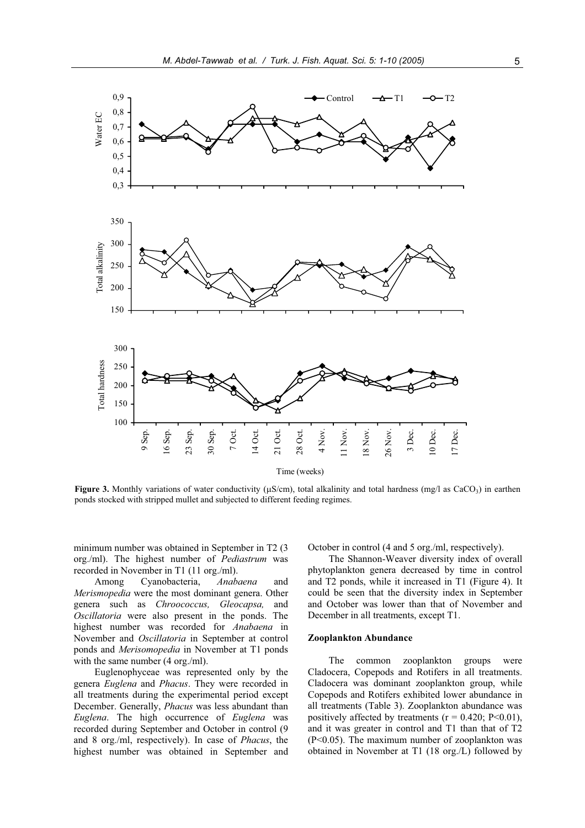

**Figure 3.** Monthly variations of water conductivity ( $\mu$ S/cm), total alkalinity and total hardness (mg/l as CaCO<sub>3</sub>) in earthen ponds stocked with stripped mullet and subjected to different feeding regimes.

minimum number was obtained in September in T2 (3 org./ml). The highest number of *Pediastrum* was recorded in November in T1 (11 org./ml).

Among Cyanobacteria, *Anabaena* and *Merismopedia* were the most dominant genera. Other genera such as *Chroococcus, Gleocapsa,* and *Oscillatoria* were also present in the ponds. The highest number was recorded for *Anabaena* in November and *Oscillatoria* in September at control ponds and *Merisomopedia* in November at T1 ponds with the same number (4 org./ml).

Euglenophyceae was represented only by the genera *Euglena* and *Phacus*. They were recorded in all treatments during the experimental period except December. Generally, *Phacus* was less abundant than *Euglena*. The high occurrence of *Euglena* was recorded during September and October in control (9 and 8 org./ml, respectively). In case of *Phacus*, the highest number was obtained in September and October in control (4 and 5 org./ml, respectively).

The Shannon-Weaver diversity index of overall phytoplankton genera decreased by time in control and T2 ponds, while it increased in T1 (Figure 4). It could be seen that the diversity index in September and October was lower than that of November and December in all treatments, except T1.

#### **Zooplankton Abundance**

The common zooplankton groups were Cladocera, Copepods and Rotifers in all treatments. Cladocera was dominant zooplankton group, while Copepods and Rotifers exhibited lower abundance in all treatments (Table 3). Zooplankton abundance was positively affected by treatments ( $r = 0.420$ ; P<0.01), and it was greater in control and T1 than that of T2 (P<0.05). The maximum number of zooplankton was obtained in November at T1 (18 org./L) followed by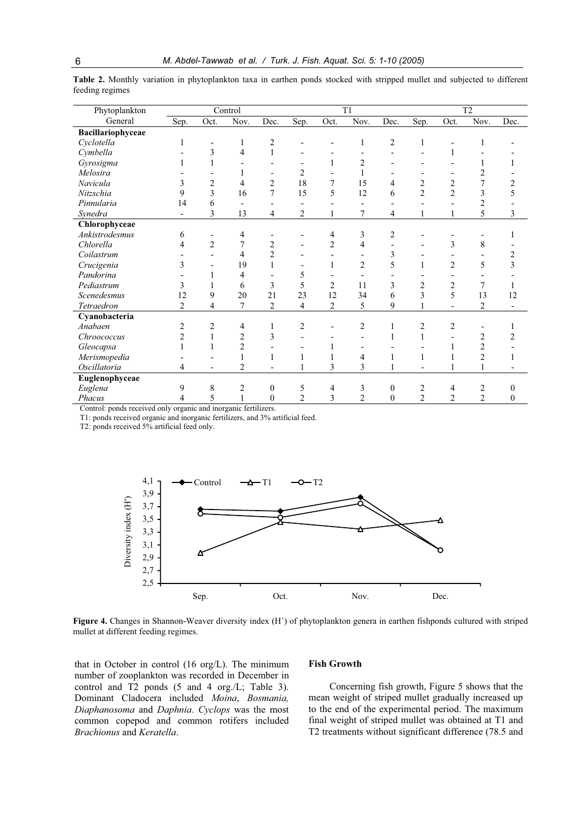| Phytoplankton     |                |                          | Control        |                          |                |                | T1             |                | T <sub>2</sub> |                |                |              |
|-------------------|----------------|--------------------------|----------------|--------------------------|----------------|----------------|----------------|----------------|----------------|----------------|----------------|--------------|
| General           | Sep.           | Oct.                     | Nov.           | Dec.                     | Sep.           | Oct.           | Nov.           | Dec.           | Sep.           | Oct.           | Nov.           | Dec.         |
| Bacillariophyceae |                |                          |                |                          |                |                |                |                |                |                |                |              |
| Cyclotella        |                |                          | $\mathbf{1}$   | $\overline{c}$           |                | $\overline{a}$ | 1              | $\mathfrak{2}$ | $\mathbf{1}$   |                | 1              |              |
| Cymbella          |                | 3                        | 4              | $\mathbf{1}$             |                |                |                |                |                | 1              |                |              |
| Gyrosigma         |                | $\mathbf{1}$             |                |                          |                | $\mathbf{1}$   | $\overline{2}$ |                |                |                | 1              |              |
| Melosira          |                |                          |                |                          | $\overline{2}$ |                | 1              |                |                |                | $\overline{2}$ |              |
| Navicula          | 3              | $\overline{2}$           | 4              | $\overline{2}$           | 18             | 7              | 15             | 4              | $\overline{c}$ | $\overline{2}$ | $\overline{7}$ | 2            |
| Nitzschia         | 9              | 3                        | 16             | 7                        | 15             | 5              | 12             | 6              | $\overline{2}$ | $\overline{2}$ | 3              |              |
| Pinnularia        | 14             | 6                        |                |                          |                |                |                |                |                |                | $\overline{2}$ |              |
| Synedra           |                | 3                        | 13             | 4                        | 2              |                | 7              | 4              |                |                | 5              | 3            |
| Chlorophyceae     |                |                          |                |                          |                |                |                |                |                |                |                |              |
| Ankistrodesmus    | 6              |                          | 4              |                          |                | 4              | 3              | 2              |                |                |                |              |
| Chlorella         | 4              | $\overline{2}$           | 7              | $\overline{2}$           |                | $\overline{2}$ | $\overline{4}$ |                |                | 3              | 8              |              |
| Coilastrum        |                |                          | $\overline{4}$ | $\overline{c}$           |                |                |                | 3              |                |                |                | 2            |
| Crucigenia        | 3              |                          | 19             | 1                        |                | 1              | $\overline{2}$ | 5              |                | $\overline{2}$ | 5              | 3            |
| Pandorina         |                | 1                        | 4              |                          | 5              |                |                |                |                |                |                |              |
| Pediastrum        | 3              |                          | 6              | 3                        | 5              | $\overline{2}$ | 11             | 3              | 2              | 2              | 7              |              |
| Scenedesmus       | 12             | 9                        | 20             | 21                       | 23             | 12             | 34             | 6              | 3              | 5              | 13             | 12           |
| Tetraedron        | $\overline{2}$ | 4                        | 7              | $\overline{2}$           | 4              | $\overline{2}$ | 5              | 9              |                |                | $\overline{2}$ |              |
| Cyanobacteria     |                |                          |                |                          |                |                |                |                |                |                |                |              |
| Anabaen           | 2              | $\overline{2}$           | 4              | 1                        | 2              |                | $\overline{c}$ | 1              | 2              | 2              |                |              |
| Chroococcus       | $\overline{c}$ | $\mathbf{1}$             | $\overline{2}$ | 3                        |                |                |                |                |                |                | $\overline{2}$ |              |
| Gleocapsa         |                | 1                        | $\overline{c}$ |                          |                |                |                |                |                |                | $\overline{c}$ |              |
| Merismopedia      |                |                          |                | 1                        |                |                | 4              |                | $\mathbf{1}$   |                | $\overline{2}$ |              |
| Oscillatoria      | 4              | $\overline{\phantom{a}}$ | $\overline{2}$ | $\overline{\phantom{a}}$ |                | 3              | 3              |                |                |                |                |              |
| Euglenophyceae    |                |                          |                |                          |                |                |                |                |                |                |                |              |
| Euglena           | 9              | 8                        | $\overline{2}$ | $\mathbf{0}$             | 5              | 4              | 3              | $\mathbf{0}$   | 2              | 4              | $\overline{2}$ | $\theta$     |
| Phacus            | 4              | 5                        | $\mathbf{1}$   | $\mathbf{0}$             | $\overline{2}$ | 3              | $\overline{2}$ | $\mathbf{0}$   | $\overline{2}$ | $\overline{2}$ | $\overline{2}$ | $\mathbf{0}$ |

**Table 2.** Monthly variation in phytoplankton taxa in earthen ponds stocked with stripped mullet and subjected to different feeding regimes

Control: ponds received only organic and inorganic fertilizers.

T1: ponds received organic and inorganic fertilizers, and 3% artificial feed.

T2: ponds received 5% artificial feed only.



**Figure 4.** Changes in Shannon-Weaver diversity index (H`) of phytoplankton genera in earthen fishponds cultured with striped mullet at different feeding regimes.

that in October in control (16 org/L). The minimum number of zooplankton was recorded in December in control and T2 ponds (5 and 4 org./L; Table 3). Dominant Cladocera included *Moina*, *Bosmania, Diaphanosoma* and *Daphnia*. *Cyclops* was the most common copepod and common rotifers included *Brachionus* and *Keratella*.

#### **Fish Growth**

Concerning fish growth, Figure 5 shows that the mean weight of striped mullet gradually increased up to the end of the experimental period. The maximum final weight of striped mullet was obtained at T1 and T2 treatments without significant difference (78.5 and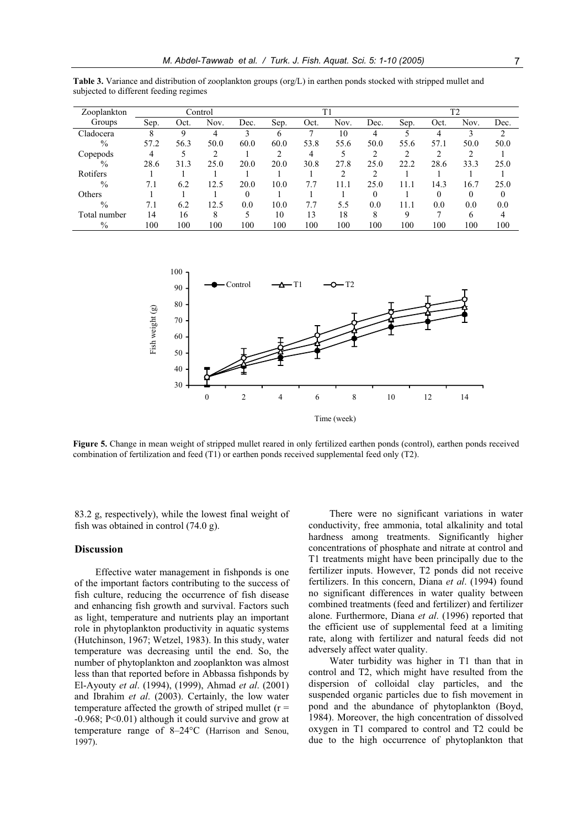| Zooplankton   |      |      | Control |          |      | T1   |      |          | T <sub>2</sub> |      |      |      |
|---------------|------|------|---------|----------|------|------|------|----------|----------------|------|------|------|
| Groups        | Sep. | Oct. | Nov.    | Dec.     | Sep. | Oct. | Nov. | Dec.     | Sep.           | Oct. | Nov. | Dec. |
| Cladocera     | 8    | 9    | 4       | 3        | 6    |      | 10   | 4        |                | 4    |      | 2    |
| $\frac{0}{0}$ | 57.2 | 56.3 | 50.0    | 60.0     | 60.0 | 53.8 | 55.6 | 50.0     | 55.6           | 57.1 | 50.0 | 50.0 |
| Copepods      | 4    | 5    |         |          | 2    | 4    |      | ↑        | ↑              |      |      |      |
| $\frac{0}{0}$ | 28.6 | 31.3 | 25.0    | 20.0     | 20.0 | 30.8 | 27.8 | 25.0     | 22.2           | 28.6 | 33.3 | 25.0 |
| Rotifers      |      |      |         |          |      |      |      | 2        |                |      |      |      |
| $\frac{0}{0}$ | 7.1  | 6.2  | 12.5    | 20.0     | 10.0 | 7.7  | 11.1 | 25.0     | 11.1           | 14.3 | 16.7 | 25.0 |
| Others        |      |      |         | $\theta$ |      |      |      | $\theta$ |                | 0    | 0    | 0    |
| $\frac{0}{0}$ | 7.1  | 6.2  | 12.5    | 0.0      | 10.0 | 7.7  | 5.5  | 0.0      | 11.1           | 0.0  | 0.0  | 0.0  |
| Total number  | 14   | 16   | 8       |          | 10   | 13   | 18   | 8        | 9              |      | 6    |      |
| $\frac{0}{0}$ | 100  | 100  | 100     | 100      | 100  | 100  | 100  | 100      | 100            | 100  | 100  | 100  |

**Table 3.** Variance and distribution of zooplankton groups (org/L) in earthen ponds stocked with stripped mullet and subjected to different feeding regimes



**Figure 5.** Change in mean weight of stripped mullet reared in only fertilized earthen ponds (control), earthen ponds received combination of fertilization and feed (T1) or earthen ponds received supplemental feed only (T2).

83.2 g, respectively), while the lowest final weight of fish was obtained in control (74.0 g).

#### **Discussion**

Effective water management in fishponds is one of the important factors contributing to the success of fish culture, reducing the occurrence of fish disease and enhancing fish growth and survival. Factors such as light, temperature and nutrients play an important role in phytoplankton productivity in aquatic systems (Hutchinson, 1967; Wetzel, 1983). In this study, water temperature was decreasing until the end. So, the number of phytoplankton and zooplankton was almost less than that reported before in Abbassa fishponds by El-Ayouty *et al*. (1994), (1999), Ahmad *et al*. (2001) and Ibrahim *et al*. (2003). Certainly, the low water temperature affected the growth of striped mullet  $(r =$ -0.968; P<0.01) although it could survive and grow at temperature range of 8–24°C (Harrison and Senou, 1997).

There were no significant variations in water conductivity, free ammonia, total alkalinity and total hardness among treatments. Significantly higher concentrations of phosphate and nitrate at control and T1 treatments might have been principally due to the fertilizer inputs. However, T2 ponds did not receive fertilizers. In this concern, Diana *et al*. (1994) found no significant differences in water quality between combined treatments (feed and fertilizer) and fertilizer alone. Furthermore, Diana *et al*. (1996) reported that the efficient use of supplemental feed at a limiting rate, along with fertilizer and natural feeds did not adversely affect water quality.

Water turbidity was higher in T1 than that in control and T2, which might have resulted from the dispersion of colloidal clay particles, and the suspended organic particles due to fish movement in pond and the abundance of phytoplankton (Boyd, 1984). Moreover, the high concentration of dissolved oxygen in T1 compared to control and T2 could be due to the high occurrence of phytoplankton that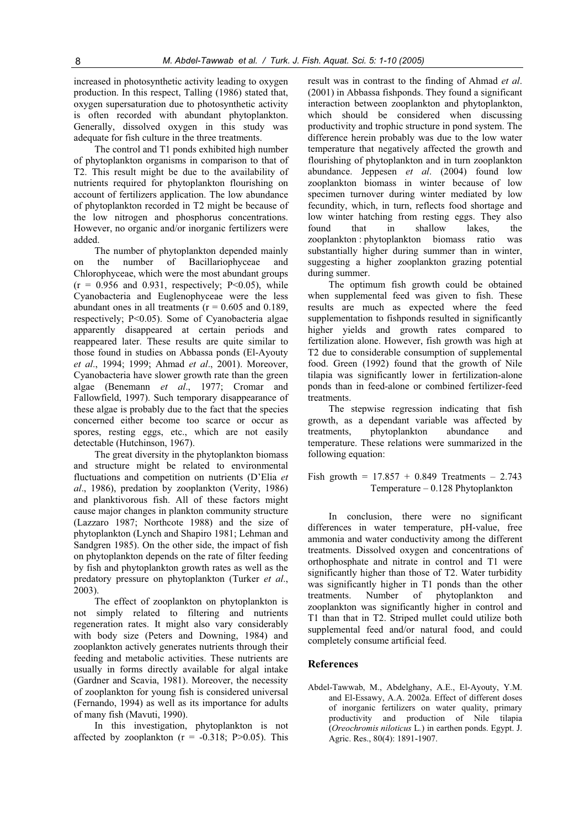increased in photosynthetic activity leading to oxygen production. In this respect, Talling (1986) stated that, oxygen supersaturation due to photosynthetic activity is often recorded with abundant phytoplankton. Generally, dissolved oxygen in this study was adequate for fish culture in the three treatments.

The control and T1 ponds exhibited high number of phytoplankton organisms in comparison to that of T2. This result might be due to the availability of nutrients required for phytoplankton flourishing on account of fertilizers application. The low abundance of phytoplankton recorded in T2 might be because of the low nitrogen and phosphorus concentrations. However, no organic and/or inorganic fertilizers were added.

The number of phytoplankton depended mainly on the number of Bacillariophyceae and Chlorophyceae, which were the most abundant groups  $(r = 0.956$  and 0.931, respectively; P<0.05), while Cyanobacteria and Euglenophyceae were the less abundant ones in all treatments ( $r = 0.605$  and 0.189, respectively; P<0.05). Some of Cyanobacteria algae apparently disappeared at certain periods and reappeared later. These results are quite similar to those found in studies on Abbassa ponds (El-Ayouty *et al*., 1994; 1999; Ahmad *et al*., 2001). Moreover, Cyanobacteria have slower growth rate than the green algae (Benemann *et al*., 1977; Cromar and Fallowfield, 1997). Such temporary disappearance of these algae is probably due to the fact that the species concerned either become too scarce or occur as spores, resting eggs, etc., which are not easily detectable (Hutchinson, 1967).

The great diversity in the phytoplankton biomass and structure might be related to environmental fluctuations and competition on nutrients (D'Elia *et al*., 1986), predation by zooplankton (Verity, 1986) and planktivorous fish. All of these factors might cause major changes in plankton community structure (Lazzaro 1987; Northcote 1988) and the size of phytoplankton (Lynch and Shapiro 1981; Lehman and Sandgren 1985). On the other side, the impact of fish on phytoplankton depends on the rate of filter feeding by fish and phytoplankton growth rates as well as the predatory pressure on phytoplankton (Turker *et al*., 2003).

The effect of zooplankton on phytoplankton is not simply related to filtering and nutrients regeneration rates. It might also vary considerably with body size (Peters and Downing, 1984) and zooplankton actively generates nutrients through their feeding and metabolic activities. These nutrients are usually in forms directly available for algal intake (Gardner and Scavia, 1981). Moreover, the necessity of zooplankton for young fish is considered universal (Fernando, 1994) as well as its importance for adults of many fish (Mavuti, 1990).

In this investigation, phytoplankton is not affected by zooplankton  $(r = -0.318; P > 0.05)$ . This

result was in contrast to the finding of Ahmad *et al*. (2001) in Abbassa fishponds. They found a significant interaction between zooplankton and phytoplankton, which should be considered when discussing productivity and trophic structure in pond system. The difference herein probably was due to the low water temperature that negatively affected the growth and flourishing of phytoplankton and in turn zooplankton abundance. Jeppesen *et al*. (2004) found low zooplankton biomass in winter because of low specimen turnover during winter mediated by low fecundity, which, in turn, reflects food shortage and low winter hatching from resting eggs. They also found that in shallow lakes, the zooplankton : phytoplankton biomass ratio was substantially higher during summer than in winter, suggesting a higher zooplankton grazing potential during summer.

The optimum fish growth could be obtained when supplemental feed was given to fish. These results are much as expected where the feed supplementation to fishponds resulted in significantly higher yields and growth rates compared to fertilization alone. However, fish growth was high at T2 due to considerable consumption of supplemental food. Green (1992) found that the growth of Nile tilapia was significantly lower in fertilization-alone ponds than in feed-alone or combined fertilizer-feed treatments.

The stepwise regression indicating that fish growth, as a dependant variable was affected by treatments, phytoplankton abundance and temperature. These relations were summarized in the following equation:

Fish growth =  $17.857 + 0.849$  Treatments - 2.743 Temperature – 0.128 Phytoplankton

In conclusion, there were no significant differences in water temperature, pH-value, free ammonia and water conductivity among the different treatments. Dissolved oxygen and concentrations of orthophosphate and nitrate in control and T1 were significantly higher than those of T2. Water turbidity was significantly higher in T1 ponds than the other treatments. Number of phytoplankton and zooplankton was significantly higher in control and T1 than that in T2. Striped mullet could utilize both supplemental feed and/or natural food, and could completely consume artificial feed.

## **References**

Abdel-Tawwab, M., Abdelghany, A.E., El-Ayouty, Y.M. and El-Essawy, A.A. 2002a. Effect of different doses of inorganic fertilizers on water quality, primary productivity and production of Nile tilapia (*Oreochromis niloticus* L*.*) in earthen ponds. Egypt. J. Agric. Res., 80(4): 1891-1907.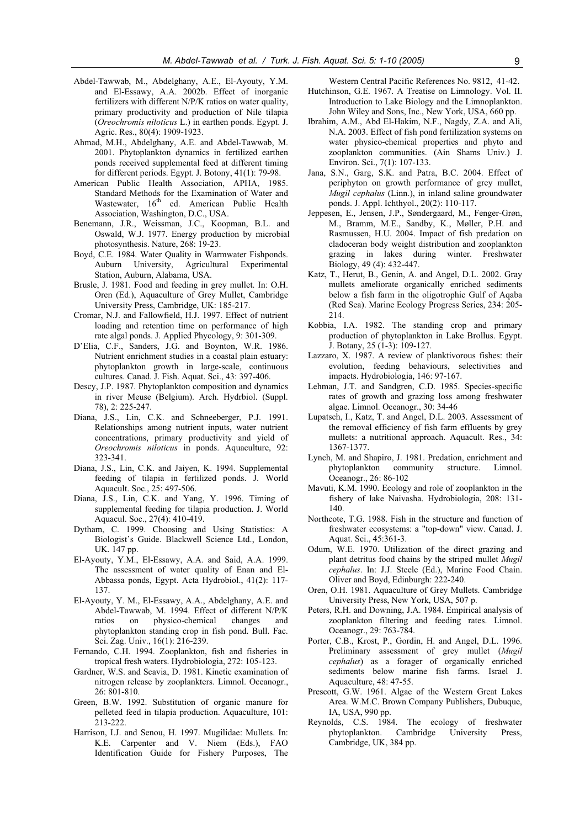- Abdel-Tawwab, M., Abdelghany, A.E., El-Ayouty, Y.M. and El-Essawy, A.A. 2002b. Effect of inorganic fertilizers with different N/P/K ratios on water quality, primary productivity and production of Nile tilapia (*Oreochromis niloticus* L.) in earthen ponds. Egypt. J. Agric. Res., 80(4): 1909-1923.
- Ahmad, M.H., Abdelghany, A.E. and Abdel-Tawwab, M. 2001. Phytoplankton dynamics in fertilized earthen ponds received supplemental feed at different timing for different periods. Egypt. J. Botony, 41(1): 79-98.
- American Public Health Association, APHA, 1985. Standard Methods for the Examination of Water and Wastewater, 16<sup>th</sup> ed. American Public Health Association, Washington, D.C., USA.
- Benemann, J.R., Weissman, J.C., Koopman, B.L. and Oswald, W.J. 1977. Energy production by microbial photosynthesis. Nature, 268: 19-23.
- Boyd, C.E. 1984. Water Quality in Warmwater Fishponds. Auburn University, Agricultural Experimental Station, Auburn, Alabama, USA.
- Brusle, J. 1981. Food and feeding in grey mullet. In: O.H. Oren (Ed.), Aquaculture of Grey Mullet, Cambridge University Press, Cambridge, UK: 185-217.
- Cromar, N.J. and Fallowfield, H.J. 1997. Effect of nutrient loading and retention time on performance of high rate algal ponds. J. Applied Phycology, 9: 301-309.
- D'Elia, C.F., Sanders, J.G. and Boynton, W.R. 1986. Nutrient enrichment studies in a coastal plain estuary: phytoplankton growth in large-scale, continuous cultures. Canad. J. Fish. Aquat. Sci., 43: 397-406.
- Descy, J.P. 1987. Phytoplankton composition and dynamics in river Meuse (Belgium). Arch. Hydrbiol. (Suppl. 78), 2: 225-247.
- Diana, J.S., Lin, C.K. and Schneeberger, P.J. 1991. Relationships among nutrient inputs, water nutrient concentrations, primary productivity and yield of *Oreochromis niloticus* in ponds. Aquaculture, 92: 323-341.
- Diana, J.S., Lin, C.K. and Jaiyen, K. 1994. Supplemental feeding of tilapia in fertilized ponds. J. World Aquacult. Soc., 25: 497-506.
- Diana, J.S., Lin, C.K. and Yang, Y. 1996. Timing of supplemental feeding for tilapia production. J. World Aquacul. Soc., 27(4): 410-419.
- Dytham, C. 1999. Choosing and Using Statistics: A Biologist's Guide. Blackwell Science Ltd., London, UK. 147 pp.
- El-Ayouty, Y.M., El-Essawy, A.A. and Said, A.A. 1999. The assessment of water quality of Enan and El-Abbassa ponds, Egypt. Acta Hydrobiol., 41(2): 117- 137.
- El-Ayouty, Y. M., El-Essawy, A.A., Abdelghany, A.E. and Abdel-Tawwab, M. 1994. Effect of different N/P/K ratios on physico-chemical changes and phytoplankton standing crop in fish pond. Bull. Fac. Sci. Zag. Univ., 16(1): 216-239.
- Fernando, C.H. 1994. Zooplankton, fish and fisheries in tropical fresh waters. Hydrobiologia, 272: 105-123.
- Gardner, W.S. and Scavia, D. 1981. Kinetic examination of nitrogen release by zooplankters. Limnol. Oceanogr., 26: 801-810.
- Green, B.W. 1992. Substitution of organic manure for pelleted feed in tilapia production. Aquaculture, 101: 213-222.
- Harrison, I.J. and Senou, H. 1997. Mugilidae: Mullets. In: K.E. Carpenter and V. Niem (Eds.), FAO Identification Guide for Fishery Purposes, The

Western Central Pacific References No. 9812, 41-42.

- Hutchinson, G.E. 1967. A Treatise on Limnology. Vol. II. Introduction to Lake Biology and the Limnoplankton. John Wiley and Sons, Inc., New York, USA, 660 pp.
- Ibrahim, A.M., Abd El-Hakim, N.F., Nagdy, Z.A. and Ali, N.A. 2003. Effect of fish pond fertilization systems on water physico-chemical properties and phyto and zooplankton communities. (Ain Shams Univ.) J. Environ. Sci., 7(1): 107-133.
- Jana, S.N., Garg, S.K. and Patra, B.C. 2004. Effect of periphyton on growth performance of grey mullet, *Mugil cephalus* (Linn.), in inland saline groundwater ponds. J. Appl. Ichthyol., 20(2): 110-117.
- Jeppesen, E., Jensen, J.P., Søndergaard, M., Fenger-Grøn, M., Bramm, M.E., Sandby, K., Møller, P.H. and Rasmussen, H.U. 2004. Impact of fish predation on cladoceran body weight distribution and zooplankton grazing in lakes during winter. Freshwater Biology, 49 (4): 432-447.
- Katz, T., Herut, B., Genin, A. and Angel, D.L. 2002. Gray mullets ameliorate organically enriched sediments below a fish farm in the oligotrophic Gulf of Aqaba (Red Sea). Marine Ecology Progress Series, 234: 205- 214.
- Kobbia, I.A. 1982. The standing crop and primary production of phytoplankton in Lake Brollus. Egypt. J. Botany, 25 (1-3): 109-127.
- Lazzaro, X. 1987. A review of planktivorous fishes: their evolution, feeding behaviours, selectivities and impacts. Hydrobiologia, 146: 97-167.
- Lehman, J.T. and Sandgren, C.D. 1985. Species-specific rates of growth and grazing loss among freshwater algae. Limnol. Oceanogr., 30: 34-46
- Lupatsch, I., Katz, T. and Angel, D.L. 2003. Assessment of the removal efficiency of fish farm effluents by grey mullets: a nutritional approach. Aquacult. Res., 34: 1367-1377.
- Lynch, M. and Shapiro, J. 1981. Predation, enrichment and phytoplankton community structure. Limnol. Oceanogr., 26: 86-102
- Mavuti, K.M. 1990. Ecology and role of zooplankton in the fishery of lake Naivasha. Hydrobiologia, 208: 131- 140.
- Northcote, T.G. 1988. Fish in the structure and function of freshwater ecosystems: a "top-down" view. Canad. J. Aquat. Sci., 45:361-3.
- Odum, W.E. 1970. Utilization of the direct grazing and plant detritus food chains by the striped mullet *Mugil cephalus*. In: J.J. Steele (Ed.), Marine Food Chain. Oliver and Boyd, Edinburgh: 222-240.
- Oren, O.H. 1981. Aquaculture of Grey Mullets. Cambridge University Press, New York, USA, 507 p.
- Peters, R.H. and Downing, J.A. 1984. Empirical analysis of zooplankton filtering and feeding rates. Limnol. Oceanogr., 29: 763-784.
- Porter, C.B., Krost, P., Gordin, H. and Angel, D.L. 1996. Preliminary assessment of grey mullet (*Mugil cephalus*) as a forager of organically enriched sediments below marine fish farms. Israel J. Aquaculture, 48: 47-55.
- Prescott, G.W. 1961. Algae of the Western Great Lakes Area. W.M.C. Brown Company Publishers, Dubuque, IA, USA, 990 pp.
- Reynolds, C.S. 1984. The ecology of freshwater<br>phytoplankton. Cambridge University Press, phytoplankton. Cambridge University Press, Cambridge, UK, 384 pp.